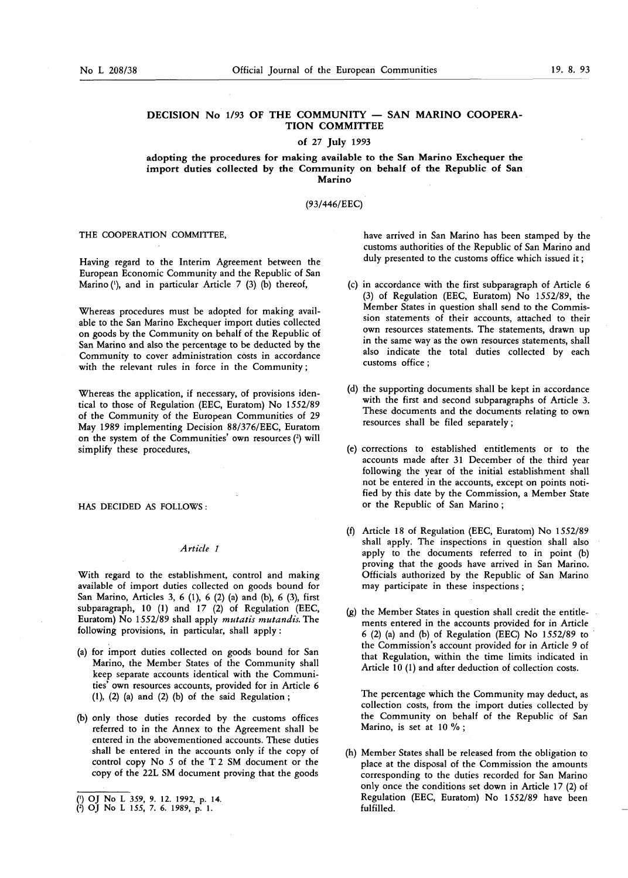## DECISION No 1/93 OF THE COMMUNITY - SAN MARINO COOPERA-TION COMMITTEE

## of 27 July 1993

## adopting the procedures for making available to the San Marino Exchequer the import duties collected by the Community on behalf of the Republic of San Marino

### (93/446/EEC)

## THE COOPERATION COMMITTEE,

Having regard to the Interim Agreement between the European Economic Community and the Republic of San Marino ('), and in particular Article 7 (3) (b) thereof,

Whereas procedures must be adopted for making available to the San Marino Exchequer import duties collected on goods by the Community on behalf of the Republic of San Marino and also the percentage to be deducted by the Community to cover administration costs in accordance with the relevant rules in force in the Community ;

Whereas the application, if necessary, of provisions identical to those of Regulation (EEC, Euratom) No 1552/89 of the Community of the European Communities of 29 May 1989 implementing Decision 88/376/EEC, Euratom on the system of the Communities' own resources  $(2)$  will simplify these procedures,

#### HAS DECIDED AS FOLLOWS :

# Article <sup>1</sup>

With regard to the establishment, control and making available of import duties collected on goods bound for San Marino, Articles 3, 6 (1), 6 (2) (a) and (b), 6 (3), first subparagraph, 10 (1) and  $17$  (2) of Regulation (EEC, Euratom) No 1552/89 shall apply mutatis mutandis. The following provisions, in particular, shall apply :

- (a) for import duties collected on goods bound for San Marino, the Member States of the Community shall keep separate accounts identical with the Communities' own resources accounts, provided for in Article 6  $(1)$ ,  $(2)$   $(a)$  and  $(2)$   $(b)$  of the said Regulation;
- (b) only those duties recorded by the customs offices referred to in the Annex to the Agreement shall be entered in the abovementioned accounts. These duties shall be entered in the accounts only if the copy of control copy No 5 of the T 2 SM document or the copy of the 22L SM document proving that the goods

have arrived in San Marino has been stamped by the customs authorities of the Republic of San Marino and duly presented to the customs office which issued it ;

- (c) in accordance with the first subparagraph of Article 6 (3) of Regulation (EEC, Euratom) No 1552/89, the Member States in question shall send to the Commission statements of their accounts, attached to their own resources statements. The statements, drawn up in the same way as the own resources statements, shall also indicate the total duties collected by each customs office ;
- (d) the supporting documents shall be kept in accordance with the first and second subparagraphs of Article 3. These documents and the documents relating to own resources shall be filed separately ;
- (e) corrections to established entitlements or to the accounts made after 31 December of the third year following the year of the initial establishment shall not be entered in the accounts, except on points notified by this date by the Commission, a Member State or the Republic of San Marino ;
- (f) Article 18 of Regulation (EEC, Euratom) No 1552/89 shall apply. The inspections in question shall also apply to the documents referred to in point (b) proving that the goods have arrived in San Marino. Officials authorized by the Republic of San Marino may participate in these inspections ;
- (g) the Member States in question shall credit the entitlements entered in the accounts provided for in Article 6 (2) (a) and (b) of Regulation (EEC) No 1552/89 to the Commission's account provided for in Article 9 of that Regulation, within the time limits indicated in Article 10 (1) and after deduction of collection costs.

The percentage which the Community may deduct, as collection costs, from the import duties collected by the Community on behalf of the Republic of San Marino, is set at 10 %;

(h) Member States shall be released from the obligation to place at the disposal of the Commission the amounts corresponding to the duties recorded for San Marino only once the conditions set down in Article 17 (2) of Regulation (EEC, Euratom) No 1552/89 have been fulfilled.

<sup>(■)</sup> OJ No L 359, 9. 12. 1992, p. 14. 0 OJ No <sup>L</sup> 155, 7. 6. 1989, p. <sup>1</sup> .